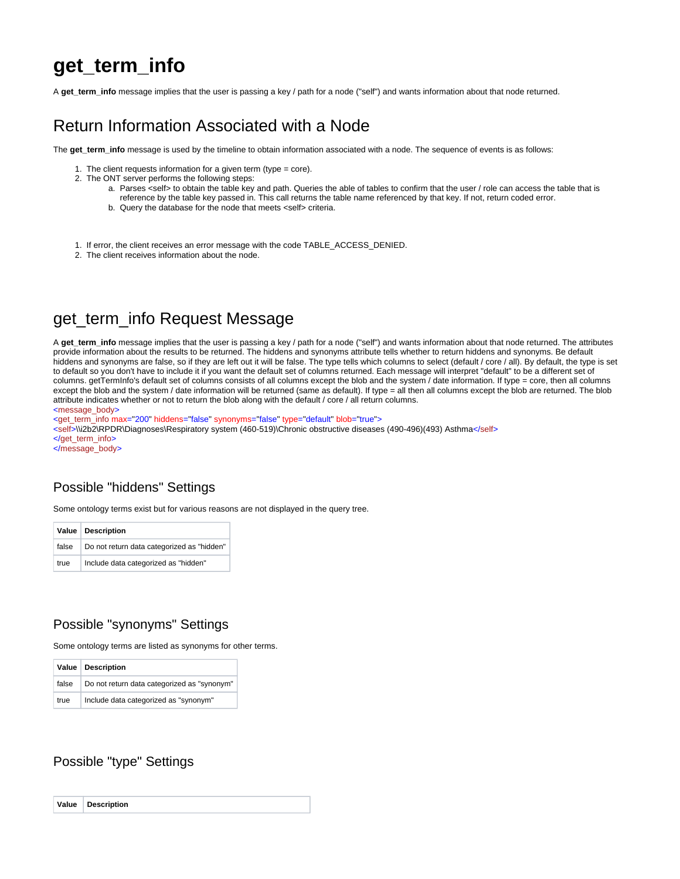## **get\_term\_info**

A get term info message implies that the user is passing a key / path for a node ("self") and wants information about that node returned.

### Return Information Associated with a Node

The **get\_term\_info** message is used by the timeline to obtain information associated with a node. The sequence of events is as follows:

- 1. The client requests information for a given term (type = core).
- 2. The ONT server performs the following steps:
	- a. Parses <self> to obtain the table key and path. Queries the able of tables to confirm that the user / role can access the table that is reference by the table key passed in. This call returns the table name referenced by that key. If not, return coded error.
	- b. Query the database for the node that meets <self> criteria.
- 1. If error, the client receives an error message with the code TABLE\_ACCESS\_DENIED.
- 2. The client receives information about the node.

### get term info Request Message

A **get\_term\_info** message implies that the user is passing a key / path for a node ("self") and wants information about that node returned. The attributes provide information about the results to be returned. The hiddens and synonyms attribute tells whether to return hiddens and synonyms. Be default hiddens and synonyms are false, so if they are left out it will be false. The type tells which columns to select (default / core / all). By default, the type is set to default so you don't have to include it if you want the default set of columns returned. Each message will interpret "default" to be a different set of columns. getTermInfo's default set of columns consists of all columns except the blob and the system / date information. If type = core, then all columns except the blob and the system / date information will be returned (same as default). If type = all then all columns except the blob are returned. The blob attribute indicates whether or not to return the blob along with the default / core / all return columns.

<message\_body>

<qet\_term\_info max="200" hiddens="false" synonyms="false" type="default" blob="true"> <self>\\i2b2\RPDR\Diagnoses\Respiratory system (460-519)\Chronic obstructive diseases (490-496)(493) Asthma</self> </get\_term\_info> </message\_body>

#### Possible "hiddens" Settings

Some ontology terms exist but for various reasons are not displayed in the query tree.

|       | Value Description                          |
|-------|--------------------------------------------|
| false | Do not return data categorized as "hidden" |
| true  | Include data categorized as "hidden"       |

#### Possible "synonyms" Settings

Some ontology terms are listed as synonyms for other terms.

|       | Value   Description                         |
|-------|---------------------------------------------|
| false | Do not return data categorized as "synonym" |
| true  | Include data categorized as "synonym"       |

#### Possible "type" Settings

| Value Description |
|-------------------|
|-------------------|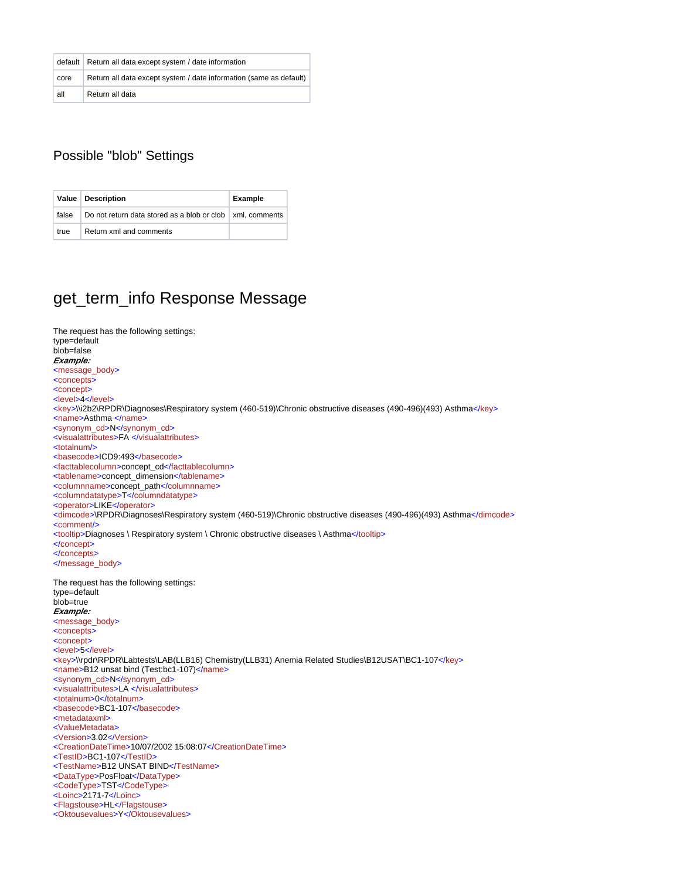|      | default   Return all data except system / date information         |
|------|--------------------------------------------------------------------|
| core | Return all data except system / date information (same as default) |
| all  | Return all data                                                    |

### Possible "blob" Settings

|       | Value   Description                                               | <b>Example</b> |
|-------|-------------------------------------------------------------------|----------------|
| false | Do not return data stored as a blob or clob $\vert$ xml. comments |                |
| true  | Return xml and comments                                           |                |

# get\_term\_info Response Message

| The request has the following settings:                                                                            |
|--------------------------------------------------------------------------------------------------------------------|
| type=default                                                                                                       |
| blob=false                                                                                                         |
| Example:                                                                                                           |
| <message_body></message_body>                                                                                      |
| <concepts></concepts>                                                                                              |
| <concept></concept>                                                                                                |
| <level>4</level>                                                                                                   |
| <key>\\i2b2\RPDR\Diagnoses\Respiratory system (460-519)\Chronic obstructive diseases (490-496)(493) Asthma</key>   |
| <name>Asthma </name>                                                                                               |
| <synonym_cd>N</synonym_cd>                                                                                         |
| <visualattributes>FA </visualattributes>                                                                           |
| <totalnum></totalnum>                                                                                              |
| <basecode>ICD9:493</basecode>                                                                                      |
| <facttablecolumn>concept_cd</facttablecolumn>                                                                      |
| <tablename>concept_dimension</tablename>                                                                           |
| <columnname>concept_path</columnname>                                                                              |
| <columndatatype>T</columndatatype>                                                                                 |
| <operator>LIKE</operator>                                                                                          |
| <dimcode>\RPDR\Diagnoses\Respiratory system (460-519)\Chronic obstructive diseases (490-496)(493) Asthma</dimcode> |
| <comment></comment>                                                                                                |
| <tooltip>Diagnoses \ Respiratory system \ Chronic obstructive diseases \ Asthma</tooltip>                          |
|                                                                                                                    |
|                                                                                                                    |
|                                                                                                                    |
|                                                                                                                    |
|                                                                                                                    |
| The request has the following settings:                                                                            |
| type=default                                                                                                       |
| blob=true                                                                                                          |
| Example:                                                                                                           |
| <message_body></message_body>                                                                                      |
| <concepts></concepts>                                                                                              |
| <concept></concept>                                                                                                |
| <level>5</level>                                                                                                   |
| <key>\\rpdr\RPDR\Labtests\LAB(LLB16) Chemistry(LLB31) Anemia Related Studies\B12USAT\BC1-107</key>                 |
| <name>B12 unsat bind (Test:bc1-107)</name>                                                                         |
| <synonym_cd>N</synonym_cd>                                                                                         |
| <visualattributes>LA </visualattributes>                                                                           |
| <totalnum>0</totalnum>                                                                                             |
| <basecode>BC1-107</basecode>                                                                                       |
| <metadataxml></metadataxml>                                                                                        |
| <valuemetadata></valuemetadata>                                                                                    |
| <version>3.02</version>                                                                                            |
| <creationdatetime>10/07/2002 15:08:07</creationdatetime>                                                           |
| <testid>BC1-107</testid>                                                                                           |
| <testname>B12 UNSAT BIND</testname>                                                                                |
| <datatype>PosFloat</datatype>                                                                                      |
| <codetype>TST</codetype>                                                                                           |
| <loinc>2171-7</loinc>                                                                                              |
| <flagstouse>HL</flagstouse><br><oktousevalues>Y</oktousevalues>                                                    |